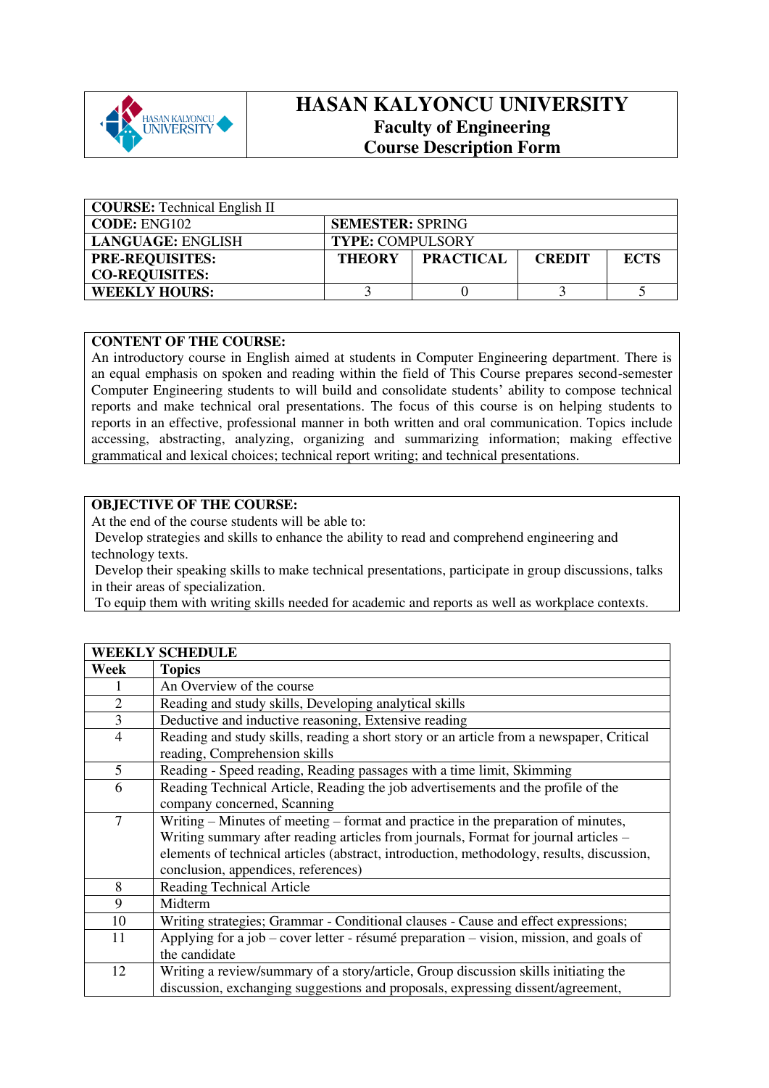

# **HASAN KALYONCU UNIVERSITY Faculty of Engineering Course Description Form**

| <b>COURSE:</b> Technical English II |                                                                   |  |  |  |  |
|-------------------------------------|-------------------------------------------------------------------|--|--|--|--|
| CODE: ENG102                        | <b>SEMESTER: SPRING</b>                                           |  |  |  |  |
| LANGUAGE: ENGLISH                   | <b>TYPE: COMPULSORY</b>                                           |  |  |  |  |
| <b>PRE-REQUISITES:</b>              | <b>PRACTICAL</b><br><b>ECTS</b><br><b>THEORY</b><br><b>CREDIT</b> |  |  |  |  |
| <b>CO-REQUISITES:</b>               |                                                                   |  |  |  |  |
| <b>WEEKLY HOURS:</b>                |                                                                   |  |  |  |  |

### **CONTENT OF THE COURSE:**

An introductory course in English aimed at students in Computer Engineering department. There is an equal emphasis on spoken and reading within the field of This Course prepares second-semester Computer Engineering students to will build and consolidate students' ability to compose technical reports and make technical oral presentations. The focus of this course is on helping students to reports in an effective, professional manner in both written and oral communication. Topics include accessing, abstracting, analyzing, organizing and summarizing information; making effective grammatical and lexical choices; technical report writing; and technical presentations.

## **OBJECTIVE OF THE COURSE:**

At the end of the course students will be able to:

 Develop strategies and skills to enhance the ability to read and comprehend engineering and technology texts.

 Develop their speaking skills to make technical presentations, participate in group discussions, talks in their areas of specialization.

To equip them with writing skills needed for academic and reports as well as workplace contexts.

|                | <b>WEEKLY SCHEDULE</b>                                                                    |
|----------------|-------------------------------------------------------------------------------------------|
| Week           | <b>Topics</b>                                                                             |
|                | An Overview of the course                                                                 |
| $\overline{2}$ | Reading and study skills, Developing analytical skills                                    |
| 3              | Deductive and inductive reasoning, Extensive reading                                      |
| $\overline{4}$ | Reading and study skills, reading a short story or an article from a newspaper, Critical  |
|                | reading, Comprehension skills                                                             |
| 5              | Reading - Speed reading, Reading passages with a time limit, Skimming                     |
| 6              | Reading Technical Article, Reading the job advertisements and the profile of the          |
|                | company concerned, Scanning                                                               |
| 7              | Writing – Minutes of meeting – format and practice in the preparation of minutes,         |
|                | Writing summary after reading articles from journals, Format for journal articles –       |
|                | elements of technical articles (abstract, introduction, methodology, results, discussion, |
|                | conclusion, appendices, references)                                                       |
| 8              | <b>Reading Technical Article</b>                                                          |
| 9              | Midterm                                                                                   |
| 10             | Writing strategies; Grammar - Conditional clauses - Cause and effect expressions;         |
| 11             | Applying for a job – cover letter - résumé preparation – vision, mission, and goals of    |
|                | the candidate                                                                             |
| 12             | Writing a review/summary of a story/article, Group discussion skills initiating the       |
|                | discussion, exchanging suggestions and proposals, expressing dissent/agreement,           |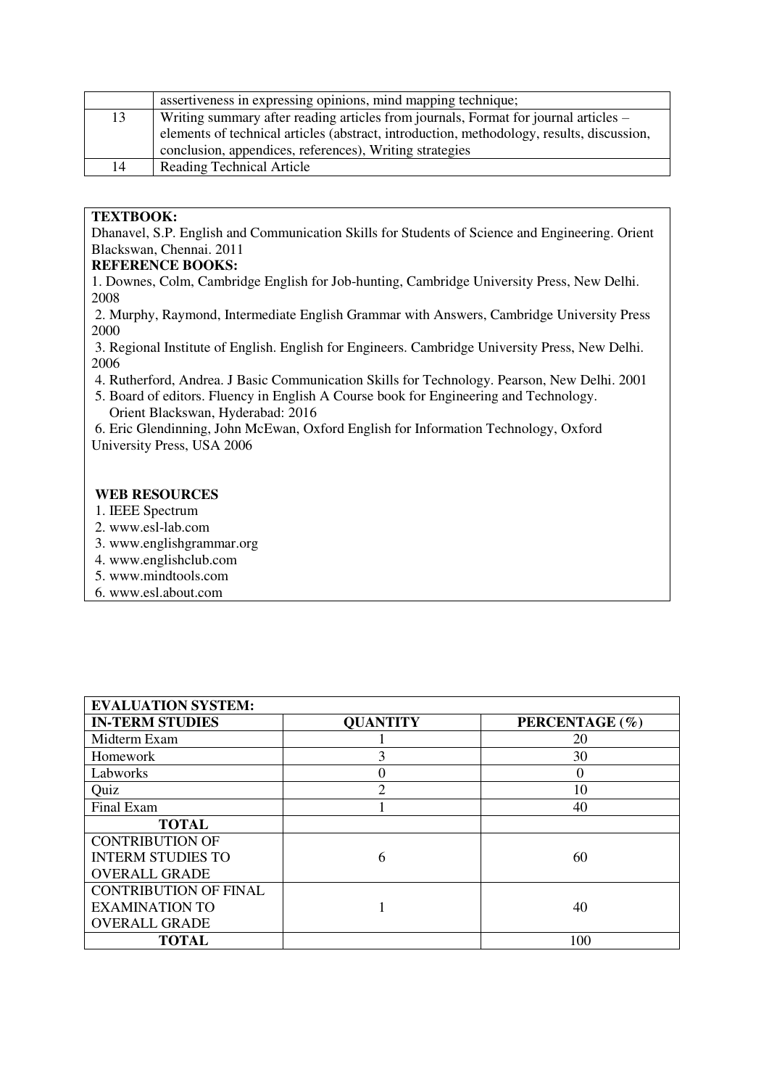|    | assertiveness in expressing opinions, mind mapping technique;                             |
|----|-------------------------------------------------------------------------------------------|
| 13 | Writing summary after reading articles from journals, Format for journal articles –       |
|    | elements of technical articles (abstract, introduction, methodology, results, discussion, |
|    | conclusion, appendices, references), Writing strategies                                   |
| 14 | <b>Reading Technical Article</b>                                                          |

### **TEXTBOOK:**

Dhanavel, S.P. English and Communication Skills for Students of Science and Engineering. Orient Blackswan, Chennai. 2011

#### **REFERENCE BOOKS:**

1. Downes, Colm, Cambridge English for Job-hunting, Cambridge University Press, New Delhi. 2008

 2. Murphy, Raymond, Intermediate English Grammar with Answers, Cambridge University Press 2000

 3. Regional Institute of English. English for Engineers. Cambridge University Press, New Delhi. 2006

- 4. Rutherford, Andrea. J Basic Communication Skills for Technology. Pearson, New Delhi. 2001
- 5. Board of editors. Fluency in English A Course book for Engineering and Technology. Orient Blackswan, Hyderabad: 2016

 6. Eric Glendinning, John McEwan, Oxford English for Information Technology, Oxford University Press, USA 2006

### **WEB RESOURCES**

- 1. IEEE Spectrum
- 2. www.esl-lab.com
- 3. www.englishgrammar.org
- 4. www.englishclub.com
- 5. www.mindtools.com
- 6. www.esl.about.com

| <b>EVALUATION SYSTEM:</b>    |                 |                |
|------------------------------|-----------------|----------------|
| <b>IN-TERM STUDIES</b>       | <b>QUANTITY</b> | PERCENTAGE (%) |
| Midterm Exam                 |                 | 20             |
| Homework                     |                 | 30             |
| Labworks                     |                 | $\left($       |
| Quiz                         | ◠               | 10             |
| Final Exam                   |                 | 40             |
| <b>TOTAL</b>                 |                 |                |
| <b>CONTRIBUTION OF</b>       |                 |                |
| <b>INTERM STUDIES TO</b>     | 6               | 60             |
| <b>OVERALL GRADE</b>         |                 |                |
| <b>CONTRIBUTION OF FINAL</b> |                 |                |
| <b>EXAMINATION TO</b>        |                 | 40             |
| <b>OVERALL GRADE</b>         |                 |                |
| <b>TOTAL</b>                 |                 | 100            |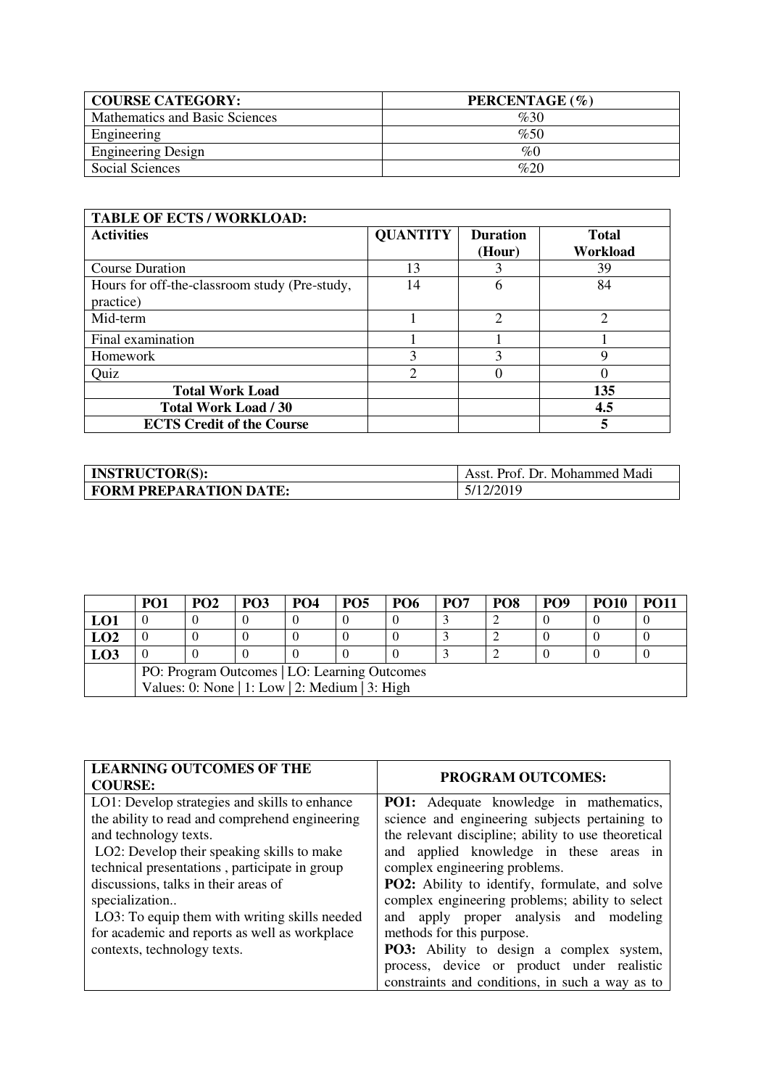| <b>COURSE CATEGORY:</b>        | PERCENTAGE (%) |
|--------------------------------|----------------|
| Mathematics and Basic Sciences | %30            |
| Engineering                    | %50            |
| <b>Engineering Design</b>      | $\%0$          |
| Social Sciences                | %20            |

| <b>TABLE OF ECTS / WORKLOAD:</b>                           |                 |                               |                          |  |  |  |
|------------------------------------------------------------|-----------------|-------------------------------|--------------------------|--|--|--|
| <b>Activities</b>                                          | <b>QUANTITY</b> | <b>Duration</b><br>(Hour)     | <b>Total</b><br>Workload |  |  |  |
| <b>Course Duration</b>                                     | 13              |                               | 39                       |  |  |  |
| Hours for off-the-classroom study (Pre-study,<br>practice) | 14              | h                             | 84                       |  |  |  |
| Mid-term                                                   |                 | $\mathfrak{D}_{\mathfrak{p}}$ | $\mathfrak{D}$           |  |  |  |
| Final examination                                          |                 |                               |                          |  |  |  |
| Homework                                                   | 3               | 3                             | q                        |  |  |  |
| Quiz                                                       | っ               |                               |                          |  |  |  |
| <b>Total Work Load</b>                                     |                 |                               | 135                      |  |  |  |
| <b>Total Work Load / 30</b>                                |                 |                               | 4.5                      |  |  |  |
| <b>ECTS Credit of the Course</b>                           |                 |                               | 5                        |  |  |  |

| <b>INSTRUCTOR(S):</b>         | Asst. Prof. Dr. Mohammed Madi |
|-------------------------------|-------------------------------|
| <b>FORM PREPARATION DATE:</b> | 5/12/2019                     |

|     | PO1                                            | PO2 | PO3 | PO4 | PO <sub>5</sub> | PO <sub>6</sub> | PO <sub>7</sub> | PO <sub>8</sub> | PO <sub>9</sub> | <b>PO10</b> | <b>PO11</b> |
|-----|------------------------------------------------|-----|-----|-----|-----------------|-----------------|-----------------|-----------------|-----------------|-------------|-------------|
| LO1 |                                                |     |     |     |                 |                 |                 |                 |                 |             |             |
| LO2 |                                                |     |     |     |                 |                 |                 |                 |                 |             |             |
| LO3 |                                                |     |     |     |                 |                 |                 |                 |                 |             |             |
|     | PO: Program Outcomes   LO: Learning Outcomes   |     |     |     |                 |                 |                 |                 |                 |             |             |
|     | Values: 0: None   1: Low   2: Medium   3: High |     |     |     |                 |                 |                 |                 |                 |             |             |

| <b>LEARNING OUTCOMES OF THE</b><br><b>COURSE:</b> | <b>PROGRAM OUTCOMES:</b>                            |
|---------------------------------------------------|-----------------------------------------------------|
| LO1: Develop strategies and skills to enhance     | <b>PO1:</b> Adequate knowledge in mathematics,      |
| the ability to read and comprehend engineering    | science and engineering subjects pertaining to      |
| and technology texts.                             | the relevant discipline; ability to use theoretical |
| LO2: Develop their speaking skills to make        | and applied knowledge in these areas in             |
| technical presentations, participate in group     | complex engineering problems.                       |
| discussions, talks in their areas of              | PO2: Ability to identify, formulate, and solve      |
| specialization                                    | complex engineering problems; ability to select     |
| LO3: To equip them with writing skills needed     | and apply proper analysis and modeling              |
| for academic and reports as well as workplace     | methods for this purpose.                           |
| contexts, technology texts.                       | <b>PO3:</b> Ability to design a complex system,     |
|                                                   | process, device or product under realistic          |
|                                                   | constraints and conditions, in such a way as to     |